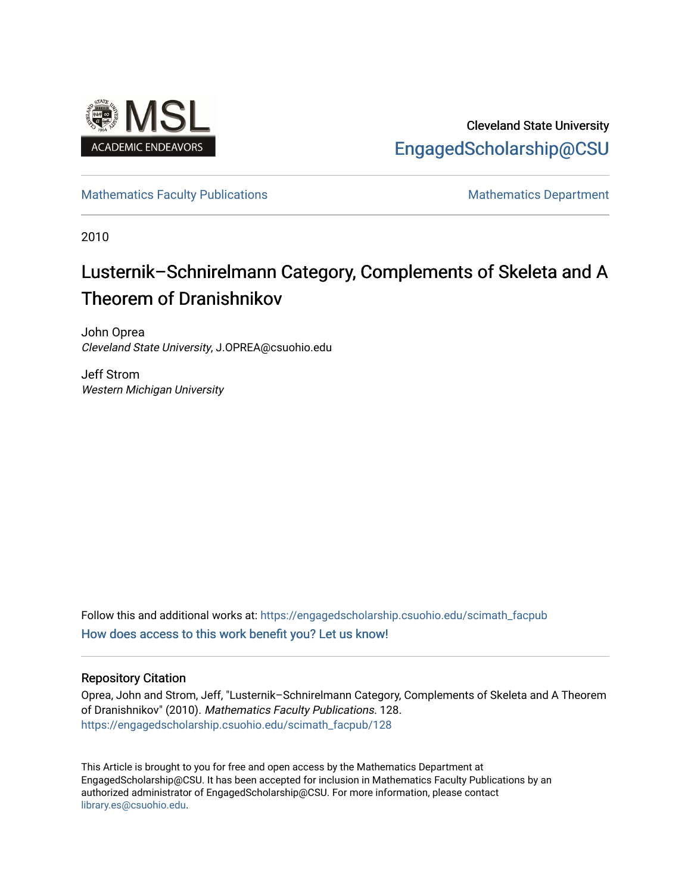

## Cleveland State University [EngagedScholarship@CSU](https://engagedscholarship.csuohio.edu/)

[Mathematics Faculty Publications](https://engagedscholarship.csuohio.edu/scimath_facpub) Mathematics Department

2010

## Lusternik–Schnirelmann Category, Complements of Skeleta and A Theorem of Dranishnikov

John Oprea Cleveland State University, J.OPREA@csuohio.edu

Jeff Strom Western Michigan University

Follow this and additional works at: [https://engagedscholarship.csuohio.edu/scimath\\_facpub](https://engagedscholarship.csuohio.edu/scimath_facpub?utm_source=engagedscholarship.csuohio.edu%2Fscimath_facpub%2F128&utm_medium=PDF&utm_campaign=PDFCoverPages) [How does access to this work benefit you? Let us know!](http://library.csuohio.edu/engaged/)

#### Repository Citation

Oprea, John and Strom, Jeff, "Lusternik–Schnirelmann Category, Complements of Skeleta and A Theorem of Dranishnikov" (2010). Mathematics Faculty Publications. 128. [https://engagedscholarship.csuohio.edu/scimath\\_facpub/128](https://engagedscholarship.csuohio.edu/scimath_facpub/128?utm_source=engagedscholarship.csuohio.edu%2Fscimath_facpub%2F128&utm_medium=PDF&utm_campaign=PDFCoverPages) 

This Article is brought to you for free and open access by the Mathematics Department at EngagedScholarship@CSU. It has been accepted for inclusion in Mathematics Faculty Publications by an authorized administrator of EngagedScholarship@CSU. For more information, please contact [library.es@csuohio.edu.](mailto:library.es@csuohio.edu)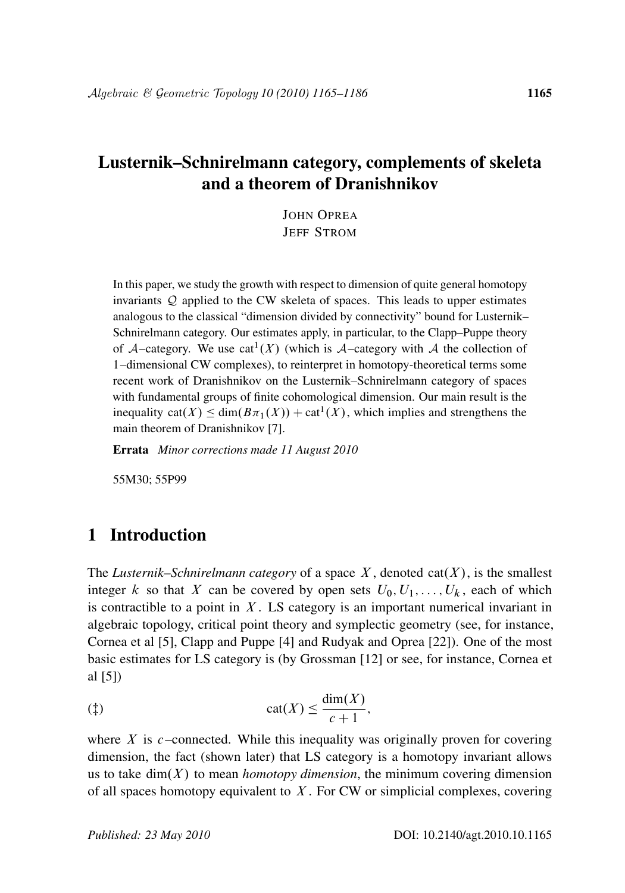### Lusternik–Schnirelmann category, complements of skeleta and a theorem of Dranishnikov

JOHN OPREA JEFF STROM

In this paper, we study the growth with respect to dimension of quite general homotopy invariants Q applied to the CW skeleta of spaces. This leads to upper estimates analogous to the classical "dimension divided by connectivity" bound for Lusternik– Schnirelmann category. Our estimates apply, in particular, to the Clapp–Puppe theory of A–category. We use  $cat^1(X)$  (which is A–category with A the collection of 1–dimensional CW complexes), to reinterpret in homotopy-theoretical terms some recent work of Dranishnikov on the Lusternik–Schnirelmann category of spaces with fundamental groups of finite cohomological dimension. Our main result is the inequality  $cat(X) \leq dim(B\pi_1(X)) + cat^1(X)$ , which implies and strengthens the main theorem of Dranishnikov [7].

Errata *Minor corrections made 11 August 2010*

55M30; 55P99

#### 1 Introduction

The *Lusternik–Schnirelmann category* of a space  $X$ , denoted cat $(X)$ , is the smallest integer k so that X can be covered by open sets  $U_0, U_1, \ldots, U_k$ , each of which is contractible to a point in  $X$ . LS category is an important numerical invariant in algebraic topology, critical point theory and symplectic geometry (see, for instance, Cornea et al [5], Clapp and Puppe [4] and Rudyak and Oprea [22]). One of the most basic estimates for LS category is (by Grossman [12] or see, for instance, Cornea et al [5])

$$
(1) \qquad \operatorname{cat}(X) \le \frac{\dim(X)}{c+1},
$$

where X is  $c$ -connected. While this inequality was originally proven for covering dimension, the fact (shown later) that LS category is a homotopy invariant allows us to take  $\dim(X)$  to mean *homotopy dimension*, the minimum covering dimension of all spaces homotopy equivalent to  $X$ . For CW or simplicial complexes, covering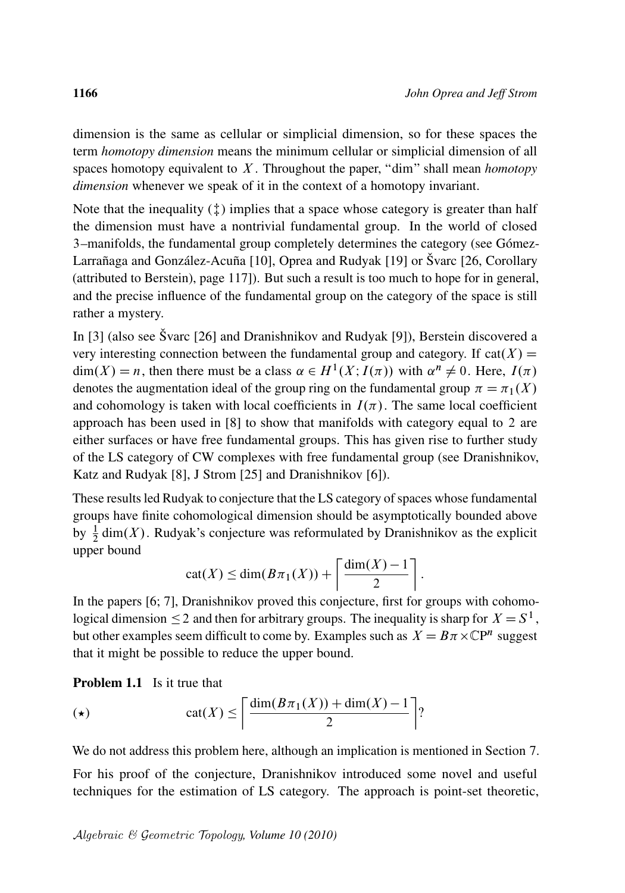dimension is the same as cellular or simplicial dimension, so for these spaces the term *homotopy dimension* means the minimum cellular or simplicial dimension of all spaces homotopy equivalent to X . Throughout the paper, "dim" shall mean *homotopy dimension* whenever we speak of it in the context of a homotopy invariant.

Note that the inequality  $(\ddagger)$  implies that a space whose category is greater than half the dimension must have a nontrivial fundamental group. In the world of closed 3–manifolds, the fundamental group completely determines the category (see Gómez-Larrañaga and González-Acuña [10], Oprea and Rudyak [19] or Švarc [26, Corollary (attributed to Berstein), page 117]). But such a result is too much to hope for in general, and the precise influence of the fundamental group on the category of the space is still rather a mystery.

In [3] (also see Švarc [26] and Dranishnikov and Rudyak [9]), Berstein discovered a very interesting connection between the fundamental group and category. If cat $(X)$  =  $\dim(X) = n$ , then there must be a class  $\alpha \in H^1(X; I(\pi))$  with  $\alpha^n \neq 0$ . Here,  $I(\pi)$ denotes the augmentation ideal of the group ring on the fundamental group  $\pi = \pi_1(X)$ . and cohomology is taken with local coefficients in  $I(\pi)$ . The same local coefficient approach has been used in [8] to show that manifolds with category equal to 2 are either surfaces or have free fundamental groups. This has given rise to further study of the LS category of CW complexes with free fundamental group (see Dranishnikov, Katz and Rudyak [8], J Strom [25] and Dranishnikov [6]).

These results led Rudyak to conjecture that the LS category of spaces whose fundamental groups have finite cohomological dimension should be asymptotically bounded above by  $\frac{1}{2}$  dim(X). Rudyak's conjecture was reformulated by Dranishnikov as the explicit upper bound

$$
cat(X) \leq dim(B\pi_1(X)) + \left\lceil \frac{dim(X) - 1}{2} \right\rceil.
$$

In the papers [6; 7], Dranishnikov proved this conjecture, first for groups with cohomological dimension  $\leq 2$  and then for arbitrary groups. The inequality is sharp for  $X = S^1$ , but other examples seem difficult to come by. Examples such as  $X = B\pi \times \mathbb{C}P^n$  suggest that it might be possible to reduce the upper bound.

**Problem 1.1** Is it true that

$$
\text{(*)}\qquad \qquad \text{cat}(X) \le \left\lceil \frac{\dim(B\pi_1(X)) + \dim(X) - 1}{2} \right\rceil?
$$

We do not address this problem here, although an implication is mentioned in Section 7.

For his proof of the conjecture, Dranishnikov introduced some novel and useful techniques for the estimation of LS category. The approach is point-set theoretic,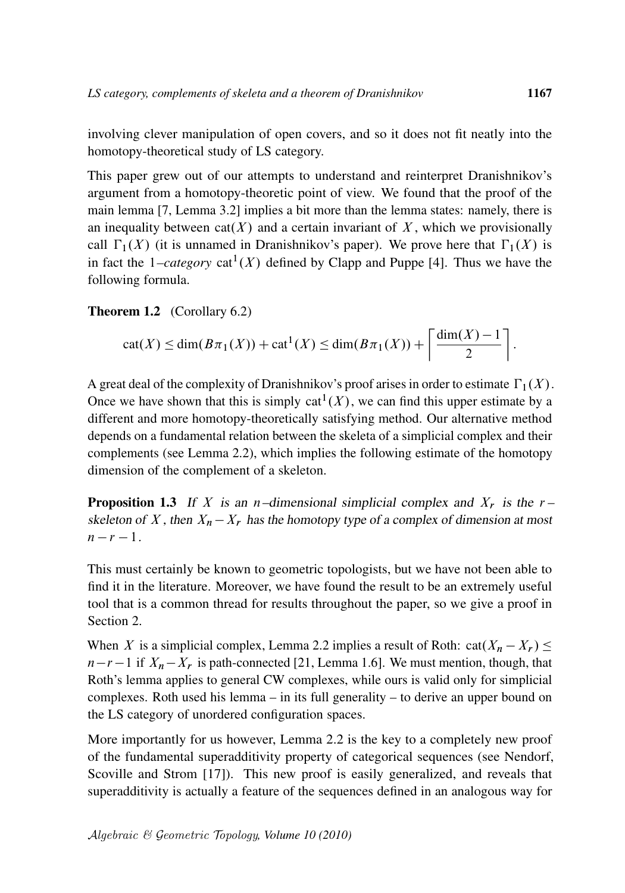involving clever manipulation of open covers, and so it does not fit neatly into the homotopy-theoretical study of LS category.

This paper grew out of our attempts to understand and reinterpret Dranishnikov's argument from a homotopy-theoretic point of view. We found that the proof of the main lemma [7, Lemma 3.2] implies a bit more than the lemma states: namely, there is an inequality between  $cat(X)$  and a certain invariant of X, which we provisionally call  $\Gamma_1(X)$  (it is unnamed in Dranishnikov's paper). We prove here that  $\Gamma_1(X)$  is in fact the  $1$ *-category*  $cat^1(X)$  defined by Clapp and Puppe [4]. Thus we have the following formula.

Theorem 1.2 (Corollary 6.2)

$$
\operatorname{cat}(X) \le \dim(B\pi_1(X)) + \operatorname{cat}^1(X) \le \dim(B\pi_1(X)) + \left\lceil \frac{\dim(X) - 1}{2} \right\rceil.
$$

A great deal of the complexity of Dranishnikov's proof arises in order to estimate  $\Gamma_1(X)$ . Once we have shown that this is simply  $cat<sup>1</sup>(X)$ , we can find this upper estimate by a different and more homotopy-theoretically satisfying method. Our alternative method depends on a fundamental relation between the skeleta of a simplicial complex and their complements (see Lemma 2.2), which implies the following estimate of the homotopy dimension of the complement of a skeleton.

**Proposition 1.3** If X is an n–dimensional simplicial complex and  $X_r$  is the r– skeleton of X, then  $X_n - X_r$  has the homotopy type of a complex of dimension at most  $n - r - 1$ .

This must certainly be known to geometric topologists, but we have not been able to find it in the literature. Moreover, we have found the result to be an extremely useful tool that is a common thread for results throughout the paper, so we give a proof in Section 2.

When X is a simplicial complex, Lemma 2.2 implies a result of Roth:  $cat(X_n - X_r) \le$  $n-r-1$  if  $X_n-X_r$  is path-connected [21, Lemma 1.6]. We must mention, though, that Roth's lemma applies to general CW complexes, while ours is valid only for simplicial complexes. Roth used his lemma – in its full generality – to derive an upper bound on the LS category of unordered configuration spaces.

More importantly for us however, Lemma 2.2 is the key to a completely new proof of the fundamental superadditivity property of categorical sequences (see Nendorf, Scoville and Strom [17]). This new proof is easily generalized, and reveals that superadditivity is actually a feature of the sequences defined in an analogous way for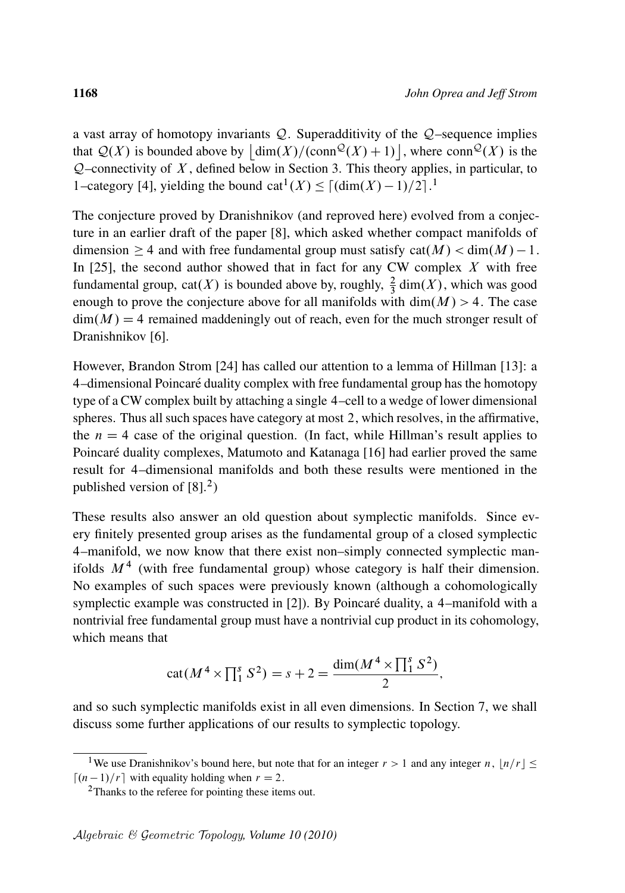a vast array of homotopy invariants  $Q$ . Superadditivity of the  $Q$ –sequence implies that  $\mathcal{Q}(X)$  is bounded above by  $\left| \dim(X)/(\text{conn}^{\mathcal{Q}}(X) + 1) \right|$ , where  $\text{conn}^{\mathcal{Q}}(X)$  is the  $Q$ –connectivity of X, defined below in Section 3. This theory applies, in particular, to 1-category [4], yielding the bound cat<sup>1</sup> $(X) \leq [(\dim(X) - 1)/2]$ .<sup>1</sup>

The conjecture proved by Dranishnikov (and reproved here) evolved from a conjecture in an earlier draft of the paper [8], which asked whether compact manifolds of dimension  $\geq 4$  and with free fundamental group must satisfy  $cat(M) < dim(M) - 1$ . In  $[25]$ , the second author showed that in fact for any CW complex X with free fundamental group,  $cat(X)$  is bounded above by, roughly,  $\frac{2}{3}$  dim(X), which was good enough to prove the conjecture above for all manifolds with  $\dim(M) > 4$ . The case  $\dim(M) = 4$  remained maddeningly out of reach, even for the much stronger result of Dranishnikov [6].

However, Brandon Strom [24] has called our attention to a lemma of Hillman [13]: a 4–dimensional Poincare duality complex with free fundamental group has the homotopy ´ type of a CW complex built by attaching a single 4–cell to a wedge of lower dimensional spheres. Thus all such spaces have category at most 2, which resolves, in the affirmative, the  $n = 4$  case of the original question. (In fact, while Hillman's result applies to Poincaré duality complexes, Matumoto and Katanaga [16] had earlier proved the same result for 4–dimensional manifolds and both these results were mentioned in the published version of  $[8]$ <sup>2</sup>)

These results also answer an old question about symplectic manifolds. Since every finitely presented group arises as the fundamental group of a closed symplectic 4–manifold, we now know that there exist non–simply connected symplectic manifolds  $M<sup>4</sup>$  (with free fundamental group) whose category is half their dimension. No examples of such spaces were previously known (although a cohomologically symplectic example was constructed in  $[2]$ ). By Poincaré duality, a 4–manifold with a nontrivial free fundamental group must have a nontrivial cup product in its cohomology, which means that

$$
cat(M^{4} \times \prod_{1}^{s} S^{2}) = s + 2 = \frac{dim(M^{4} \times \prod_{1}^{s} S^{2})}{2},
$$

and so such symplectic manifolds exist in all even dimensions. In Section 7, we shall discuss some further applications of our results to symplectic topology.

<sup>&</sup>lt;sup>1</sup>We use Dranishnikov's bound here, but note that for an integer  $r > 1$  and any integer n,  $\lfloor n/r \rfloor \le$  $\lceil (n-1)/r \rceil$  with equality holding when  $r = 2$ .

<sup>&</sup>lt;sup>2</sup>Thanks to the referee for pointing these items out.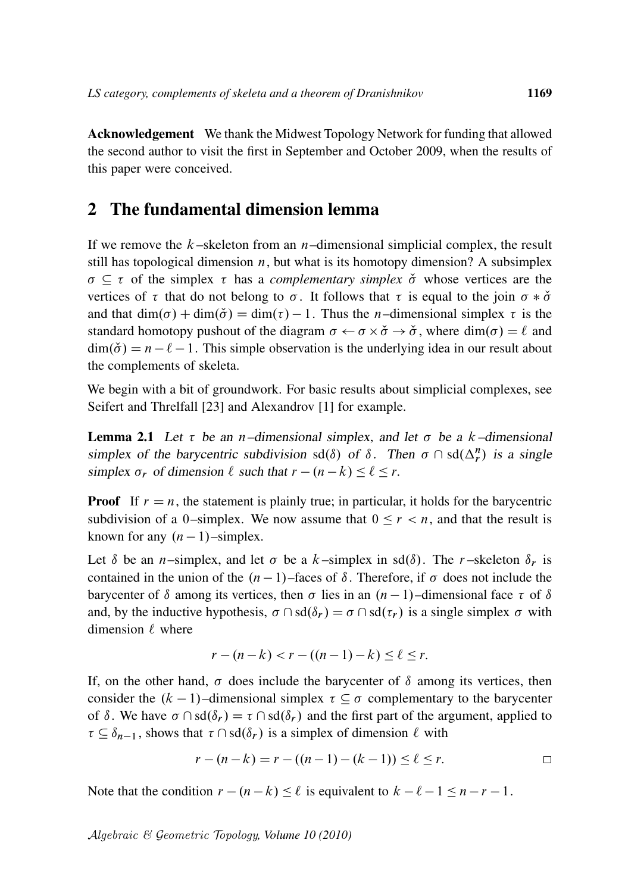Acknowledgement We thank the Midwest Topology Network for funding that allowed the second author to visit the first in September and October 2009, when the results of this paper were conceived.

#### 2 The fundamental dimension lemma

If we remove the  $k$ -skeleton from an *n*-dimensional simplicial complex, the result still has topological dimension  $n$ , but what is its homotopy dimension? A subsimplex  $\sigma \subseteq \tau$  of the simplex  $\tau$  has a *complementary simplex*  $\check{\sigma}$  whose vertices are the vertices of  $\tau$  that do not belong to  $\sigma$ . It follows that  $\tau$  is equal to the join  $\sigma * \check{\sigma}$ and that  $\dim(\sigma) + \dim(\check{\sigma}) = \dim(\tau) - 1$ . Thus the *n*-dimensional simplex  $\tau$  is the standard homotopy pushout of the diagram  $\sigma \leftarrow \sigma \times \check{\sigma} \rightarrow \check{\sigma}$ , where  $\dim(\sigma) = \ell$  and  $\dim(\check{\sigma}) = n - \ell - 1$ . This simple observation is the underlying idea in our result about the complements of skeleta.

We begin with a bit of groundwork. For basic results about simplicial complexes, see Seifert and Threlfall [23] and Alexandrov [1] for example.

**Lemma 2.1** Let  $\tau$  be an n–dimensional simplex, and let  $\sigma$  be a k–dimensional simplex of the barycentric subdivision sd( $\delta$ ) of  $\delta$ . Then  $\sigma \cap sd(\Delta_r^n)$  is a single simplex  $\sigma_r$  of dimension  $\ell$  such that  $r - (n - k) \leq \ell \leq r$ .

**Proof** If  $r = n$ , the statement is plainly true; in particular, it holds for the barycentric subdivision of a 0–simplex. We now assume that  $0 \le r < n$ , and that the result is known for any  $(n - 1)$ –simplex.

Let  $\delta$  be an *n*–simplex, and let  $\sigma$  be a k–simplex in sd $(\delta)$ . The r–skeleton  $\delta_r$  is contained in the union of the  $(n - 1)$ –faces of  $\delta$ . Therefore, if  $\sigma$  does not include the barycenter of  $\delta$  among its vertices, then  $\sigma$  lies in an  $(n-1)$ –dimensional face  $\tau$  of  $\delta$ and, by the inductive hypothesis,  $\sigma \cap sd(\delta_r) = \sigma \cap sd(\tau_r)$  is a single simplex  $\sigma$  with dimension  $\ell$  where

$$
r - (n - k) < r - ((n - 1) - k) \le \ell \le r.
$$

If, on the other hand,  $\sigma$  does include the barycenter of  $\delta$  among its vertices, then consider the  $(k - 1)$ –dimensional simplex  $\tau \subset \sigma$  complementary to the barycenter of  $\delta$ . We have  $\sigma \cap \text{sd}(\delta_r) = \tau \cap \text{sd}(\delta_r)$  and the first part of the argument, applied to  $\tau \subseteq \delta_{n-1}$ , shows that  $\tau \cap sd(\delta_r)$  is a simplex of dimension  $\ell$  with

$$
r - (n - k) = r - ((n - 1) - (k - 1)) \le \ell \le r.
$$

Note that the condition  $r - (n - k) \le \ell$  is equivalent to  $k - \ell - 1 \le n - r - 1$ .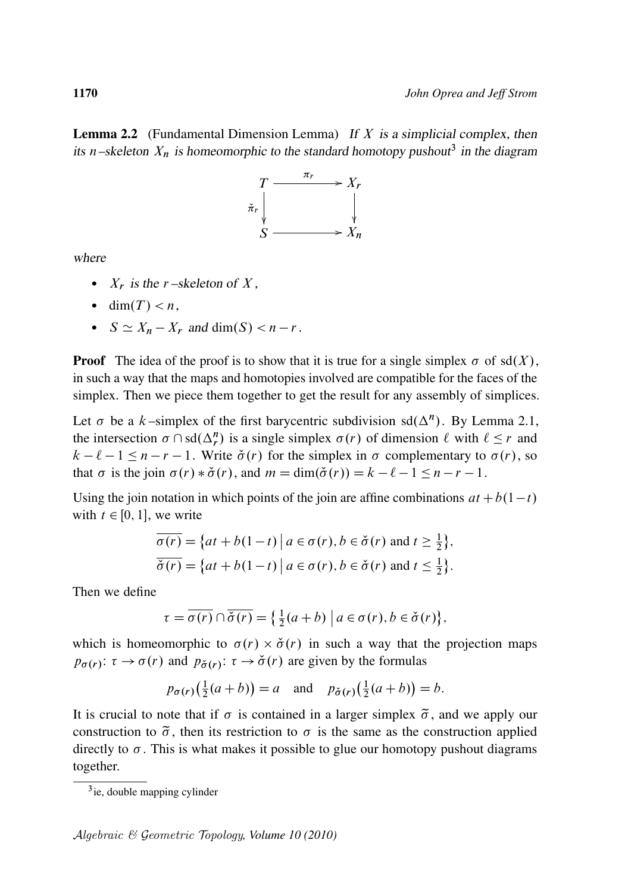**Lemma 2.2** (Fundamental Dimension Lemma) If  $X$  is a simplicial complex, then its n–skeleton  $X_n$  is homeomorphic to the standard homotopy pushout<sup>3</sup> in the diagram



where

- $X_r$  is the r-skeleton of X,
- $\bullet$  dim $(T) < n$ .
- $S \simeq X_n X_r$  and dim(S) < n r.

**Proof** The idea of the proof is to show that it is true for a single simplex  $\sigma$  of sd $(X)$ , in such a way that the maps and homotopies involved are compatible for the faces of the simplex. Then we piece them together to get the result for any assembly of simplices.

Let  $\sigma$  be a k-simplex of the first barycentric subdivision sd( $\Delta^n$ ). By Lemma 2.1, the intersection  $\sigma \cap sd(\Delta_r^n)$  is a single simplex  $\sigma(r)$  of dimension  $\ell$  with  $\ell \leq r$  and  $k - \ell - 1 \le n - r - 1$ . Write  $\check{\sigma}(r)$  for the simplex in  $\sigma$  complementary to  $\sigma(r)$ , so that  $\sigma$  is the join  $\sigma(r) * \check{\sigma}(r)$ , and  $m = \dim(\check{\sigma}(r)) = k - \ell - 1 \le n - r - 1$ .

Using the join notation in which points of the join are affine combinations  $at + b(1-t)$ with  $t \in [0, 1]$ , we write

$$
\overline{\sigma(r)} = \{at + b(1-t) \mid a \in \sigma(r), b \in \check{\sigma}(r) \text{ and } t \ge \frac{1}{2}\},\
$$
  

$$
\overline{\check{\sigma}(r)} = \{at + b(1-t) \mid a \in \sigma(r), b \in \check{\sigma}(r) \text{ and } t \le \frac{1}{2}\}.
$$

Then we define

$$
\tau = \overline{\sigma(r)} \cap \overline{\check{\sigma}(r)} = \left\{ \frac{1}{2}(a+b) \mid a \in \sigma(r), b \in \check{\sigma}(r) \right\},\
$$

which is homeomorphic to  $\sigma(r) \times \check{\sigma}(r)$  in such a way that the projection maps  $p_{\sigma(r)}$ :  $\tau \to \sigma(r)$  and  $p_{\check{\sigma}(r)}$ :  $\tau \to \check{\sigma}(r)$  are given by the formulas

$$
p_{\sigma(r)}(\frac{1}{2}(a+b)) = a
$$
 and  $p_{\sigma(r)}(\frac{1}{2}(a+b)) = b$ .

It is crucial to note that if  $\sigma$  is contained in a larger simplex  $\tilde{\sigma}$ , and we apply our construction to  $\tilde{\sigma}$ , then its restriction to  $\sigma$  is the same as the construction applied directly to  $\sigma$ . This is what makes it possible to glue our homotopy pushout diagrams together.

<sup>3</sup> ie, double mapping cylinder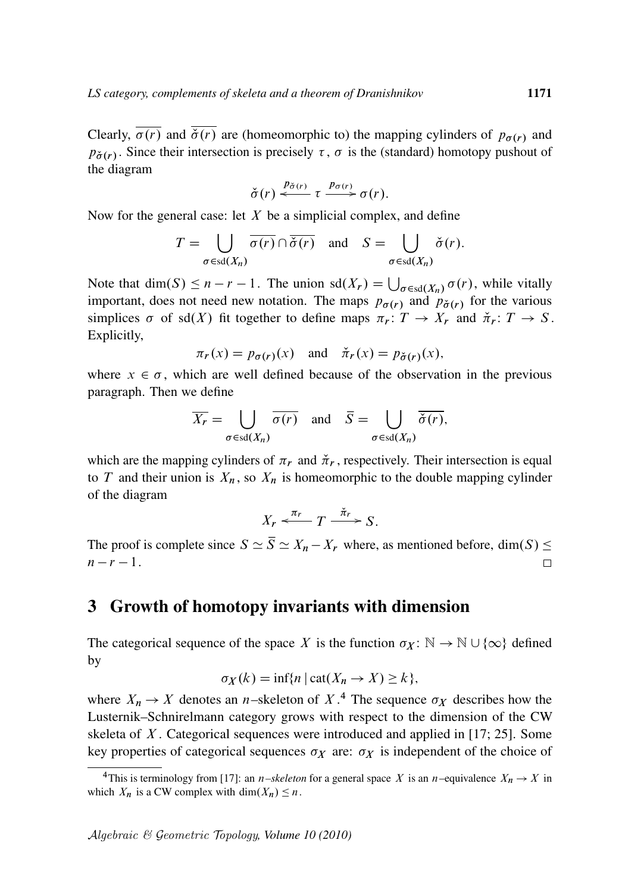Clearly,  $\overline{\sigma(r)}$  and  $\overline{\sigma(r)}$  are (homeomorphic to) the mapping cylinders of  $p_{\sigma(r)}$  and  $p_{\sigma(r)}$ . Since their intersection is precisely  $\tau$ ,  $\sigma$  is the (standard) homotopy pushout of the diagram

$$
\check{\sigma}(r) \stackrel{p_{\check{\sigma}(r)}}{\longleftarrow} \tau \stackrel{p_{\sigma(r)}}{\longrightarrow} \sigma(r).
$$

Now for the general case: let  $X$  be a simplicial complex, and define

$$
T = \bigcup_{\sigma \in \text{sd}(X_n)} \overline{\sigma(r)} \cap \overline{\check{\sigma}(r)} \quad \text{and} \quad S = \bigcup_{\sigma \in \text{sd}(X_n)} \check{\sigma}(r).
$$

Note that  $\dim(S) \leq n - r - 1$ . The union  $\text{sd}(X_r) = \bigcup_{\sigma \in \text{sd}(X_n)} \sigma(r)$ , while vitally important, does not need new notation. The maps  $p_{\sigma(r)}$  and  $p_{\sigma(r)}$  for the various simplices  $\sigma$  of sd(X) fit together to define maps  $\pi_r : T \to X_r$  and  $\check{\pi}_r : T \to S$ . Explicitly,

$$
\pi_r(x) = p_{\sigma(r)}(x)
$$
 and  $\check{\pi}_r(x) = p_{\check{\sigma}(r)}(x)$ ,

where  $x \in \sigma$ , which are well defined because of the observation in the previous paragraph. Then we define

$$
\overline{X_r} = \bigcup_{\sigma \in \text{sd}(X_n)} \overline{\sigma(r)} \quad \text{and} \quad \overline{S} = \bigcup_{\sigma \in \text{sd}(X_n)} \overline{\check{\sigma}(r)},
$$

which are the mapping cylinders of  $\pi_r$  and  $\check{\pi}_r$ , respectively. Their intersection is equal to T and their union is  $X_n$ , so  $X_n$  is homeomorphic to the double mapping cylinder of the diagram

$$
X_r \xleftarrow{\pi_r} T \xrightarrow{\check{\pi}_r} S.
$$

The proof is complete since  $S \simeq \overline{S} \simeq X_n - X_r$  where, as mentioned before, dim $(S) \leq$  $n - r - 1$ .  $\Box$ 

#### 3 Growth of homotopy invariants with dimension

The categorical sequence of the space X is the function  $\sigma_X : \mathbb{N} \to \mathbb{N} \cup \{\infty\}$  defined by

$$
\sigma_X(k) = \inf\{n \mid \text{cat}(X_n \to X) \ge k\},\
$$

where  $X_n \to X$  denotes an *n*-skeleton of X<sup>4</sup>. The sequence  $\sigma_X$  describes how the Lusternik–Schnirelmann category grows with respect to the dimension of the CW skeleta of  $X$ . Categorical sequences were introduced and applied in [17; 25]. Some key properties of categorical sequences  $\sigma_X$  are:  $\sigma_X$  is independent of the choice of

<sup>&</sup>lt;sup>4</sup>This is terminology from [17]: an *n–skeleton* for a general space X is an *n*–equivalence  $X_n \to X$  in which  $X_n$  is a CW complex with dim $(X_n) \leq n$ .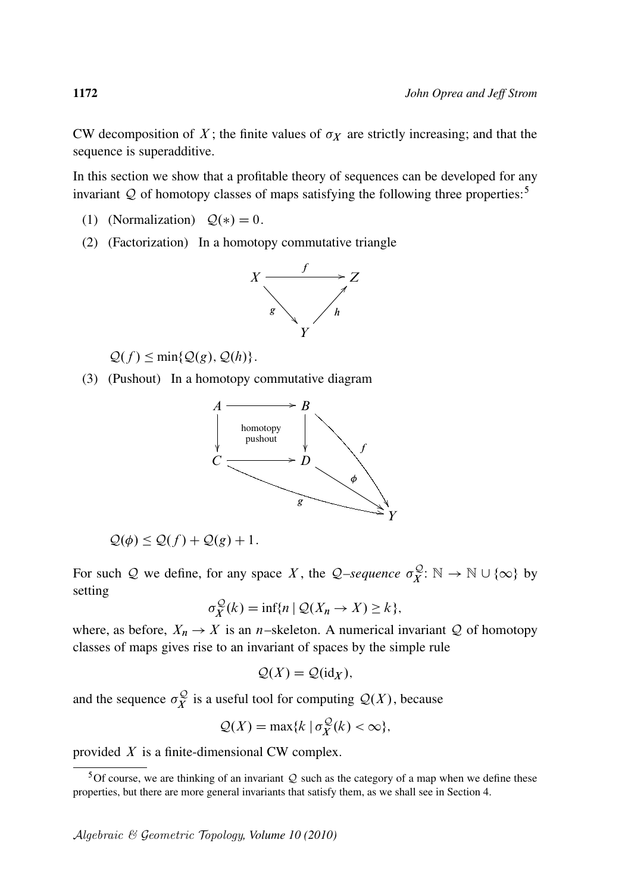CW decomposition of X; the finite values of  $\sigma_X$  are strictly increasing; and that the sequence is superadditive.

In this section we show that a profitable theory of sequences can be developed for any invariant  $Q$  of homotopy classes of maps satisfying the following three properties:<sup>5</sup>

- (1) (Normalization)  $Q(*) = 0$ .
- (2) (Factorization) In a homotopy commutative triangle



 $\mathcal{Q}(f) \le \min\{\mathcal{Q}(g), \mathcal{Q}(h)\}.$ 

(3) (Pushout) In a homotopy commutative diagram



$$
\mathcal{Q}(\phi) \le \mathcal{Q}(f) + \mathcal{Q}(g) + 1.
$$

For such Q we define, for any space X, the Q-sequence  $\sigma_Y^{\mathcal{Q}}$  $\mathcal{L}_X^{\mathcal{Q}}: \mathbb{N} \to \mathbb{N} \cup \{\infty\}$  by setting

$$
\sigma_X^{\mathcal{Q}}(k) = \inf \{ n \mid \mathcal{Q}(X_n \to X) \ge k \},\
$$

where, as before,  $X_n \to X$  is an *n*-skeleton. A numerical invariant Q of homotopy classes of maps gives rise to an invariant of spaces by the simple rule

$$
\mathcal{Q}(X) = \mathcal{Q}(\mathrm{id}_X),
$$

and the sequence  $\sigma_{\chi}^{\mathcal{Q}}$  $\mathcal{L}_X^{\mathcal{Q}}$  is a useful tool for computing  $\mathcal{Q}(X)$ , because

$$
Q(X) = \max\{k \mid \sigma_X^{\mathcal{Q}}(k) < \infty\},\
$$

provided  $X$  is a finite-dimensional CW complex.

<sup>&</sup>lt;sup>5</sup>Of course, we are thinking of an invariant  $Q$  such as the category of a map when we define these properties, but there are more general invariants that satisfy them, as we shall see in Section 4.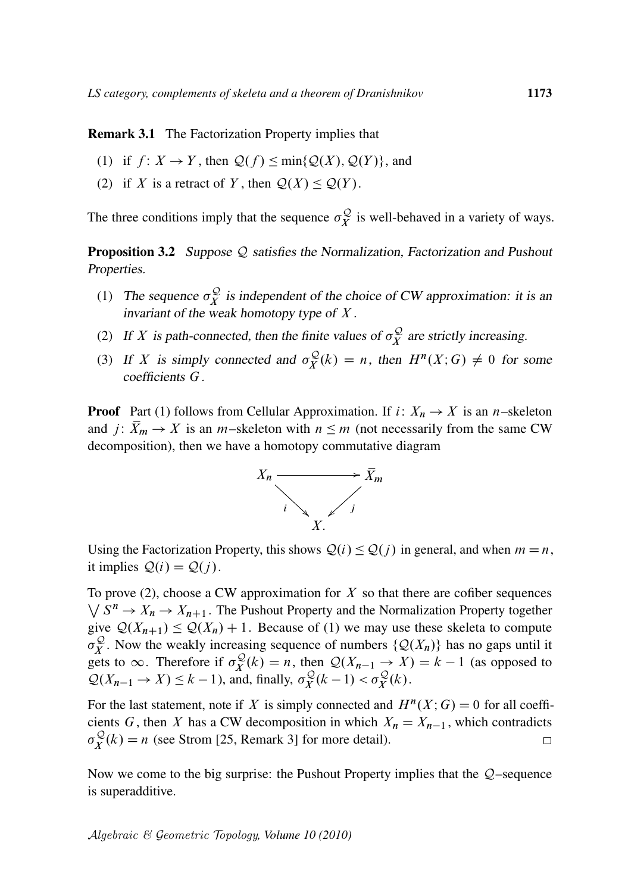Remark 3.1 The Factorization Property implies that

- (1) if  $f: X \to Y$ , then  $\mathcal{Q}(f) \le \min\{\mathcal{Q}(X), \mathcal{Q}(Y)\}\)$ , and
- (2) if X is a retract of Y, then  $Q(X) \leq Q(Y)$ .

The three conditions imply that the sequence  $\sigma_Y^{\mathcal{Q}}$  $\widetilde{X}$  is well-behaved in a variety of ways.

**Proposition 3.2** Suppose  $Q$  satisfies the Normalization, Factorization and Pushout Properties.

- (1) The sequence  $\sigma_{\chi}^{\mathcal{Q}}$  $\chi^{\mathcal{Q}}$  is independent of the choice of CW approximation: it is an invariant of the weak homotopy type of  $X$ .
- (2) If X is path-connected, then the finite values of  $\sigma_Y^{\mathcal{Q}}$  $\chi^2$  are strictly increasing.
- (3) If X is simply connected and  $\sigma_Y^{\mathcal{Q}}$  $X_X^{\mathcal{Q}}(k) = n$ , then  $H^n(X; G) \neq 0$  for some coefficients G.

**Proof** Part (1) follows from Cellular Approximation. If i:  $X_n \to X$  is an n–skeleton and  $j: \bar{X}_m \to X$  is an *m*-skeleton with  $n \leq m$  (not necessarily from the same CW decomposition), then we have a homotopy commutative diagram



Using the Factorization Property, this shows  $Q(i) \leq Q(j)$  in general, and when  $m = n$ , it implies  $Q(i) = Q(i)$ .

To prove (2), choose a CW approximation for  $X$  so that there are cofiber sequences  $\bigvee S^n \to X_n \to X_{n+1}$ . The Pushout Property and the Normalization Property together give  $Q(X_{n+1}) \leq Q(X_n) + 1$ . Because of (1) we may use these skeleta to compute  $\sigma_Y^{\mathcal{Q}}$ . Now the weakly increasing sequence of numbers  $\{\mathcal{Q}(X_n)\}\)$  has no gaps until it  $\sigma_X^2$ . Now the weakly increased<br>gets to  $\infty$ . Therefore if  $\sigma_Y^{\mathcal{Q}}$  $\mathcal{L}_X^{\mathcal{Q}}(k) = n$ , then  $\mathcal{Q}(X_{n-1} \to X) = k - 1$  (as opposed to  $\mathcal{Q}(X_{n-1} \to X) \leq k - 1$ , and, finally,  $\sigma_X^{\mathcal{Q}}$  $\sigma_X^{\mathcal{Q}}(k-1) < \sigma_X^{\mathcal{Q}}(k)$ .

For the last statement, note if X is simply connected and  $H^n(X;G) = 0$  for all coefficients G, then X has a CW decomposition in which  $X_n = X_{n-1}$ , which contradicts  $\sigma^{\mathcal{Q}}_{\pmb{Y}}$  $X_X^{\mathcal{Q}}(k) = n$  (see Strom [25, Remark 3] for more detail).  $\Box$ 

Now we come to the big surprise: the Pushout Property implies that the  $Q$ –sequence is superadditive.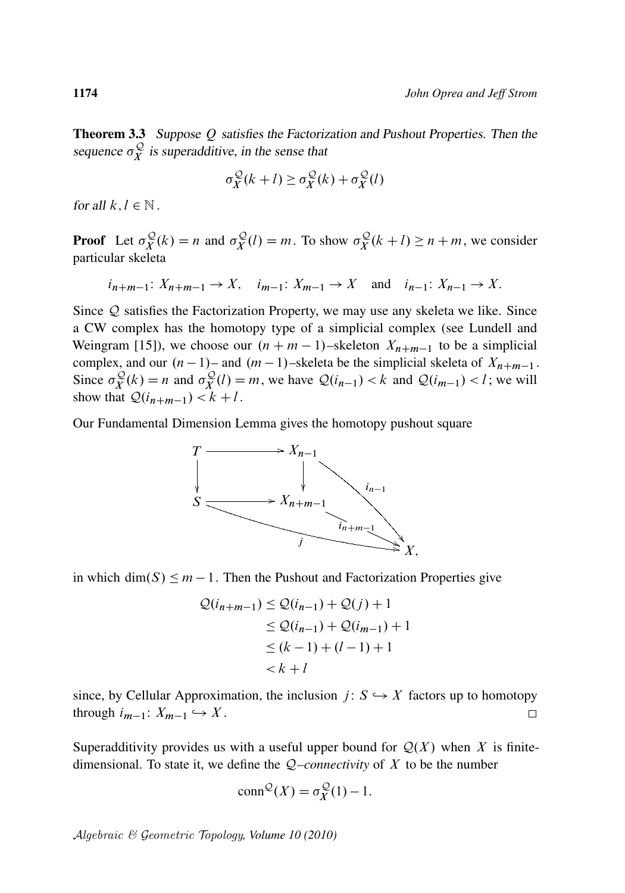Theorem 3.3 Suppose Q satisfies the Factorization and Pushout Properties. Then the sequence  $\sigma_Y^{\mathcal{Q}}$  $\chi^2$  is superadditive, in the sense that

$$
\sigma_X^{\mathcal{Q}}(k+l) \ge \sigma_X^{\mathcal{Q}}(k) + \sigma_X^{\mathcal{Q}}(l)
$$

for all  $k, l \in \mathbb{N}$ .

**Proof** Let  $\sigma_Y^{\mathcal{Q}}$  $\sigma_X^{\mathcal{Q}}(k) = n$  and  $\sigma_X^{\mathcal{Q}}$  $\sigma_X^{\mathcal{Q}}(l) = m$ . To show  $\sigma_X^{\mathcal{Q}}$  $\sum_{i=1}^{n} (k + l) \geq n + m$ , we consider particular skeleta

$$
i_{n+m-1}: X_{n+m-1} \to X
$$
,  $i_{m-1}: X_{m-1} \to X$  and  $i_{n-1}: X_{n-1} \to X$ .

Since Q satisfies the Factorization Property, we may use any skeleta we like. Since a CW complex has the homotopy type of a simplicial complex (see Lundell and Weingram [15]), we choose our  $(n + m - 1)$ –skeleton  $X_{n+m-1}$  to be a simplicial complex, and our  $(n - 1)$ – and  $(m - 1)$ –skeleta be the simplicial skeleta of  $X_{n+m-1}$ . Since  $\sigma_Y^{\mathcal{Q}}$  $\chi^{\mathcal{Q}}(k) = n$  and  $\sigma_X^{\mathcal{Q}}$  $\mathcal{L}_{X}^{\mathcal{Q}}(l) = m$ , we have  $\mathcal{Q}(i_{n-1}) < k$  and  $\mathcal{Q}(i_{m-1}) < l$ ; we will show that  $\mathcal{Q}(i_{n+m-1}) < k+l$ .

Our Fundamental Dimension Lemma gives the homotopy pushout square



in which dim $(S) \leq m - 1$ . Then the Pushout and Factorization Properties give

$$
Q(i_{n+m-1}) \leq Q(i_{n-1}) + Q(j) + 1
$$
  
\n
$$
\leq Q(i_{n-1}) + Q(i_{m-1}) + 1
$$
  
\n
$$
\leq (k-1) + (l-1) + 1
$$
  
\n
$$
< k+l
$$

since, by Cellular Approximation, the inclusion  $j: S \hookrightarrow X$  factors up to homotopy through  $i_{m-1}: X_{m-1} \hookrightarrow X$ .  $\Box$ 

Superadditivity provides us with a useful upper bound for  $Q(X)$  when X is finitedimensional. To state it, we define the Q*–connectivity* of X to be the number

$$
conn^{\mathcal{Q}}(X) = \sigma_X^{\mathcal{Q}}(1) - 1.
$$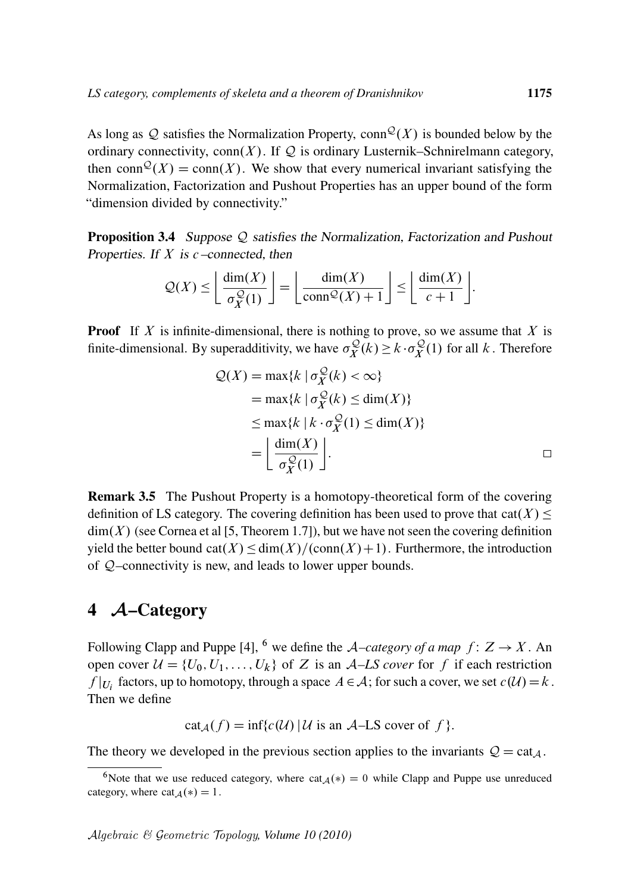As long as Q satisfies the Normalization Property, conn $\mathcal{Q}(X)$  is bounded below by the ordinary connectivity,  $conn(X)$ . If Q is ordinary Lusternik–Schnirelmann category, then conn $\mathcal{Q}(X) = \text{conn}(X)$ . We show that every numerical invariant satisfying the Normalization, Factorization and Pushout Properties has an upper bound of the form "dimension divided by connectivity."

Proposition 3.4 Suppose Q satisfies the Normalization, Factorization and Pushout Properties. If  $X$  is  $c$  –connected, then

$$
\mathcal{Q}(X) \le \left\lfloor \frac{\dim(X)}{\sigma_X^{\mathcal{Q}}(1)} \right\rfloor = \left\lfloor \frac{\dim(X)}{\text{conn}^{\mathcal{Q}}(X) + 1} \right\rfloor \le \left\lfloor \frac{\dim(X)}{c + 1} \right\rfloor.
$$

**Proof** If X is infinite-dimensional, there is nothing to prove, so we assume that X is finite-dimensional. By superadditivity, we have  $\sigma_Y^{\mathcal{Q}}$  $\mathcal{L}_X^{\mathcal{Q}}(k) \geq k \cdot \sigma_X^{\mathcal{Q}}$  $\chi^{\mathcal{Q}}(1)$  for all k. Therefore

$$
Q(X) = \max\{k \mid \sigma_X^{\mathcal{Q}}(k) < \infty\}
$$
\n
$$
= \max\{k \mid \sigma_X^{\mathcal{Q}}(k) \le \dim(X)\}
$$
\n
$$
\le \max\{k \mid k \cdot \sigma_X^{\mathcal{Q}}(1) \le \dim(X)\}
$$
\n
$$
= \left\lfloor \frac{\dim(X)}{\sigma_X^{\mathcal{Q}}(1)} \right\rfloor.
$$

Remark 3.5 The Pushout Property is a homotopy-theoretical form of the covering definition of LS category. The covering definition has been used to prove that  $cat(X) \le$  $dim(X)$  (see Cornea et al [5, Theorem 1.7]), but we have not seen the covering definition yield the better bound  $cat(X) \leq dim(X)/(conn(X)+1)$ . Furthermore, the introduction of Q–connectivity is new, and leads to lower upper bounds.

#### 4 A–Category

Following Clapp and Puppe [4], <sup>6</sup> we define the *A–category of a map*  $f: Z \rightarrow X$ . An open cover  $U = \{U_0, U_1, \ldots, U_k\}$  of Z is an A–LS cover for f if each restriction  $f|_{U_i}$  factors, up to homotopy, through a space  $A \in \mathcal{A}$ ; for such a cover, we set  $c(\mathcal{U}) = k$ . Then we define

cat  $_A(f) = \inf\{c(\mathcal{U}) | \mathcal{U}$  is an A–LS cover of f }.

The theory we developed in the previous section applies to the invariants  $Q = \text{cat}_A$ .

<sup>&</sup>lt;sup>6</sup>Note that we use reduced category, where cat<sub>4</sub>(\*) = 0 while Clapp and Puppe use unreduced category, where cat  $\Delta(*) = 1$ .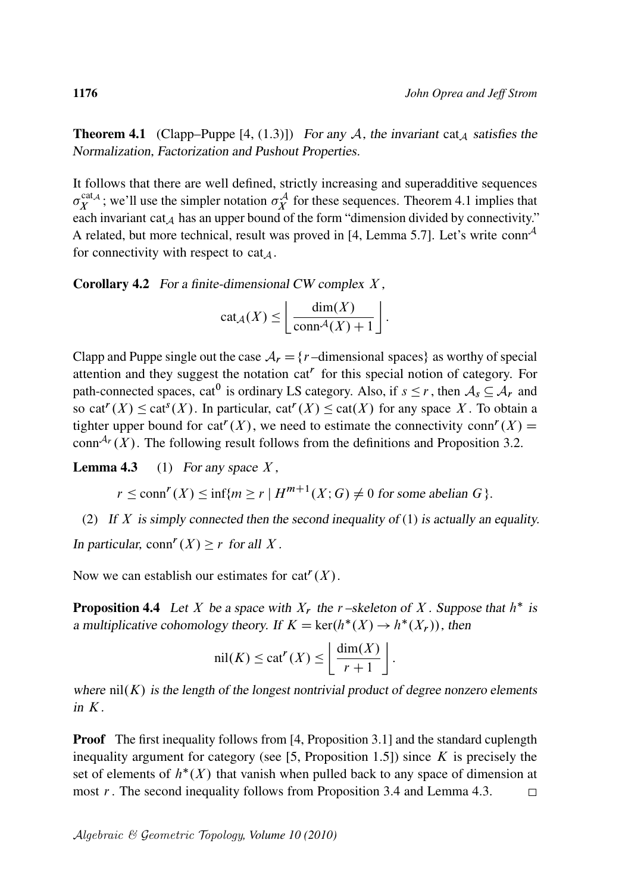**Theorem 4.1** (Clapp–Puppe [4, (1.3)]) For any A, the invariant cat<sub>A</sub> satisfies the Normalization, Factorization and Pushout Properties.

It follows that there are well defined, strictly increasing and superadditive sequences  $\sigma_Y^{\text{cat}_{\mathcal{A}}}$  $X^{cat,4}$ ; we'll use the simpler notation  $\sigma_X^{\mathcal{A}}$  for these sequences. Theorem 4.1 implies that each invariant cat  $_A$  has an upper bound of the form "dimension divided by connectivity." A related, but more technical, result was proved in [4, Lemma 5.7]. Let's write conn<sup>A</sup> for connectivity with respect to cat<sub> $\Lambda$ </sub>.

**Corollary 4.2** For a finite-dimensional CW complex  $X$ ,

$$
cat_{\mathcal{A}}(X) \leq \left\lfloor \frac{dim(X)}{conn^{\mathcal{A}}(X) + 1} \right\rfloor.
$$

Clapp and Puppe single out the case  $A_r = \{r$  –dimensional spaces} as worthy of special attention and they suggest the notation  $cat<sup>r</sup>$  for this special notion of category. For path-connected spaces, cat<sup>0</sup> is ordinary LS category. Also, if  $s \le r$ , then  $A_s \subseteq A_r$  and so cat<sup>r</sup>(X)  $\leq$  cat<sup>s</sup>(X). In particular, cat<sup>r</sup>(X)  $\leq$  cat(X) for any space X. To obtain a tighter upper bound for cat<sup> $r$ </sup>(X), we need to estimate the connectivity conn<sup> $r$ </sup>(X) = conn<sup> $A_r$ </sup>  $(X)$ . The following result follows from the definitions and Proposition 3.2.

**Lemma 4.3** (1) For any space  $X$ ,

 $r \le \text{conn}^r(X) \le \inf\{m \ge r \mid H^{m+1}(X;G) \ne 0 \text{ for some abelian } G\}.$ 

(2) If X is simply connected then the second inequality of (1) is actually an equality. In particular,  $\text{conn}^r(X) \geq r$  for all X.

Now we can establish our estimates for  $cat^{r}(X)$ .

**Proposition 4.4** Let X be a space with  $X_r$  the r-skeleton of X. Suppose that  $h^*$  is a multiplicative cohomology theory. If  $K = \text{ker}(h^*(X) \to h^*(X_r))$ , then

$$
\operatorname{nil}(K) \le \operatorname{cat}^r(X) \le \left\lfloor \frac{\operatorname{dim}(X)}{r+1} \right\rfloor.
$$

where  $nil(K)$  is the length of the longest nontrivial product of degree nonzero elements in  $K$ .

**Proof** The first inequality follows from [4, Proposition 3.1] and the standard cuplength inequality argument for category (see  $[5,$  Proposition 1.5]) since K is precisely the set of elements of  $h^*(X)$  that vanish when pulled back to any space of dimension at most r. The second inequality follows from Proposition 3.4 and Lemma 4.3.  $\Box$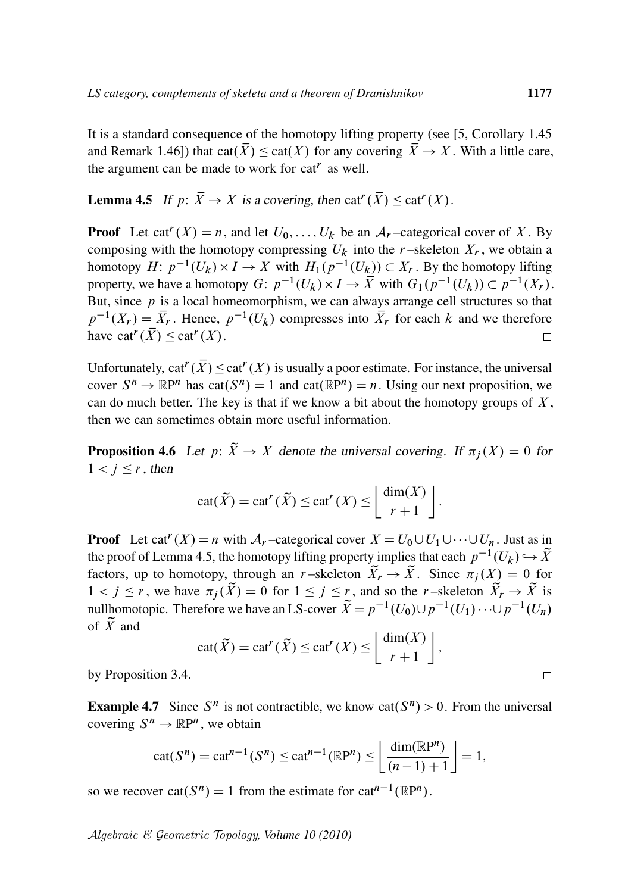It is a standard consequence of the homotopy lifting property (see [5, Corollary 1.45 and Remark 1.46]) that cat $(\overline{X}) \leq \text{cat}(X)$  for any covering  $\overline{X} \to X$ . With a little care, the argument can be made to work for cat<sup> $r$ </sup> as well.

**Lemma 4.5** If  $p: \overline{X} \to X$  is a covering, then  $cat^r(\overline{X}) \leq cat^r(X)$ .

**Proof** Let cat<sup> $r$ </sup>(*X*) = *n*, and let  $U_0, \ldots, U_k$  be an  $A_r$ -categorical cover of *X*. By composing with the homotopy compressing  $U_k$  into the r-skeleton  $X_r$ , we obtain a homotopy  $H: p^{-1}(U_k) \times I \to X$  with  $H_1(p^{-1}(U_k)) \subset X_r$ . By the homotopy lifting property, we have a homotopy  $G: p^{-1}(U_k) \times I \to \overline{X}$  with  $G_1(p^{-1}(U_k)) \subset p^{-1}(X_r)$ . But, since  $p$  is a local homeomorphism, we can always arrange cell structures so that  $p^{-1}(X_r) = \overline{X}_r$ . Hence,  $p^{-1}(U_k)$  compresses into  $\overline{X}_r$  for each k and we therefore have  $cat^{r}(\overline{X}) \leq cat^{r}(X)$ .  $\Box$ 

Unfortunately,  $cat^{r}(\overline{X}) \leq cat^{r}(X)$  is usually a poor estimate. For instance, the universal cover  $S^n \to \mathbb{R}P^n$  has  $cat(S^n) = 1$  and  $cat(\mathbb{R}P^n) = n$ . Using our next proposition, we can do much better. The key is that if we know a bit about the homotopy groups of  $X$ , then we can sometimes obtain more useful information.

**Proposition 4.6** Let  $p: \widetilde{X} \to X$  denote the universal covering. If  $\pi_i(X) = 0$  for  $1 < j \leq r$ , then

$$
\operatorname{cat}(\widetilde{X}) = \operatorname{cat}^r(\widetilde{X}) \le \operatorname{cat}^r(X) \le \left\lfloor \frac{\operatorname{dim}(X)}{r+1} \right\rfloor.
$$

**Proof** Let cat<sup>*r*</sup> (*X*) = *n* with  $A_r$ -categorical cover  $X = U_0 \cup U_1 \cup \cdots \cup U_n$ . Just as in the proof of Lemma 4.5, the homotopy lifting property implies that each  $p^{-1}(U_k) \hookrightarrow \tilde{X}$ factors, up to homotopy, through an r-skeleton  $\tilde{X}_r \to \tilde{X}$ . Since  $\pi_i(X) = 0$  for  $1 < j \leq r$ , we have  $\pi_i(\widetilde{X}) = 0$  for  $1 \leq j \leq r$ , and so the r-skeleton  $\widetilde{X}_r \to \widetilde{X}$  is nullhomotopic. Therefore we have an LS-cover  $\widetilde{X} = p^{-1}(U_0) \cup p^{-1}(U_1) \cdots \cup p^{-1}(U_n)$ of  $\widetilde{X}$  and

$$
\operatorname{cat}(\widetilde{X}) = \operatorname{cat}^r(\widetilde{X}) \le \operatorname{cat}^r(X) \le \left\lfloor \frac{\operatorname{dim}(X)}{r+1} \right\rfloor,
$$

by Proposition 3.4.

**Example 4.7** Since  $S^n$  is not contractible, we know  $cat(S^n) > 0$ . From the universal covering  $S^n \to \mathbb{R}P^n$ , we obtain

$$
\mathrm{cat}(S^n)=\mathrm{cat}^{n-1}(S^n)\leq \mathrm{cat}^{n-1}(\mathbb{R}\mathrm{P}^n)\leq \left\lfloor\frac{\mathrm{dim}(\mathbb{R}\mathrm{P}^n)}{(n-1)+1}\right\rfloor=1,
$$

so we recover  $cat(S^n) = 1$  from the estimate for  $cat^{n-1}(\mathbb{R}P^n)$ .

Algebraic & Geometric Topology*, Volume 10 (2010)*

 $\Box$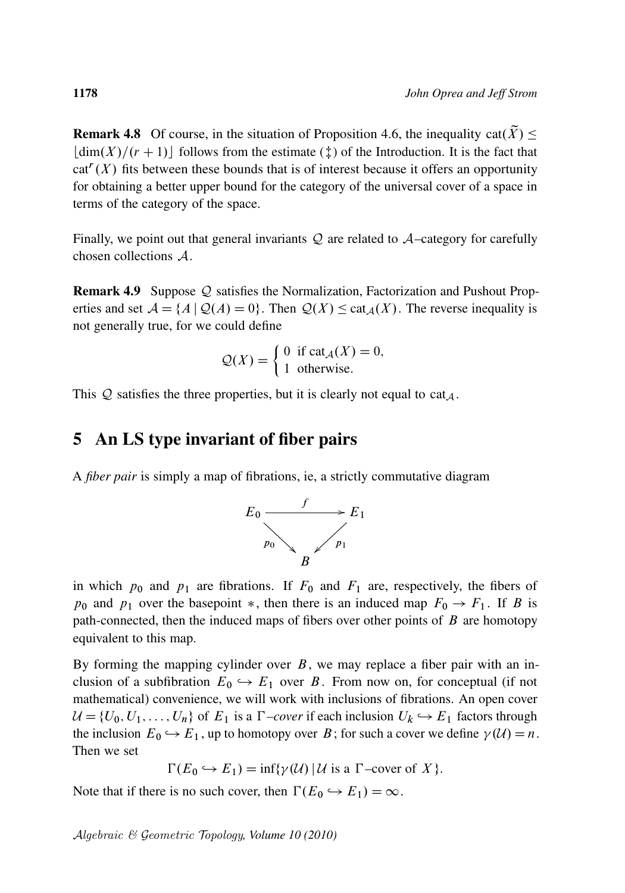**Remark 4.8** Of course, in the situation of Proposition 4.6, the inequality cat $(\tilde{X}) \leq$  $\lfloor \dim(X)/(r+1) \rfloor$  follows from the estimate ( $\ddagger$ ) of the Introduction. It is the fact that  $cat<sup>r</sup>(X)$  fits between these bounds that is of interest because it offers an opportunity for obtaining a better upper bound for the category of the universal cover of a space in terms of the category of the space.

Finally, we point out that general invariants  $Q$  are related to  $\mathcal{A}-$ category for carefully chosen collections A.

**Remark 4.9** Suppose Q satisfies the Normalization, Factorization and Pushout Properties and set  $\mathcal{A} = \{A \mid \mathcal{Q}(A) = 0\}$ . Then  $\mathcal{Q}(X) \leq \text{cat}_A(X)$ . The reverse inequality is not generally true, for we could define

$$
Q(X) = \begin{cases} 0 & \text{if } \text{cat}_{\mathcal{A}}(X) = 0, \\ 1 & \text{otherwise.} \end{cases}
$$

This  $Q$  satisfies the three properties, but it is clearly not equal to cat<sub>A</sub>.

#### 5 An LS type invariant of fiber pairs

A *fiber pair* is simply a map of fibrations, ie, a strictly commutative diagram



in which  $p_0$  and  $p_1$  are fibrations. If  $F_0$  and  $F_1$  are, respectively, the fibers of  $p_0$  and  $p_1$  over the basepoint  $*$ , then there is an induced map  $F_0 \rightarrow F_1$ . If B is path-connected, then the induced maps of fibers over other points of  $B$  are homotopy equivalent to this map.

By forming the mapping cylinder over  $B$ , we may replace a fiber pair with an inclusion of a subfibration  $E_0 \hookrightarrow E_1$  over B. From now on, for conceptual (if not mathematical) convenience, we will work with inclusions of fibrations. An open cover  $U = \{U_0, U_1, \ldots, U_n\}$  of  $E_1$  is a *T*-cover if each inclusion  $U_k \hookrightarrow E_1$  factors through the inclusion  $E_0 \hookrightarrow E_1$ , up to homotopy over B; for such a cover we define  $\gamma(\mathcal{U}) = n$ . Then we set

 $\Gamma(E_0 \hookrightarrow E_1) = \inf \{ \gamma(\mathcal{U}) \mid \mathcal{U} \text{ is a } \Gamma \text{-cover of } X \}.$ 

Note that if there is no such cover, then  $\Gamma(E_0 \hookrightarrow E_1) = \infty$ .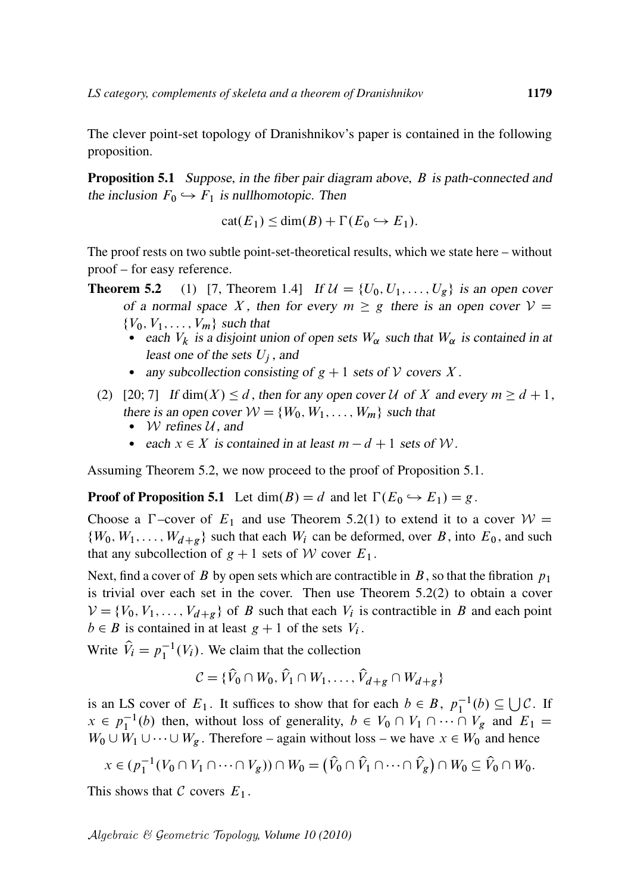The clever point-set topology of Dranishnikov's paper is contained in the following proposition.

**Proposition 5.1** Suppose, in the fiber pair diagram above, B is path-connected and the inclusion  $F_0 \hookrightarrow F_1$  is nullhomotopic. Then

 $cat(E_1) \leq dim(B) + \Gamma(E_0 \hookrightarrow E_1).$ 

The proof rests on two subtle point-set-theoretical results, which we state here – without proof – for easy reference.

- **Theorem 5.2** (1) [7, Theorem 1.4] If  $\mathcal{U} = \{U_0, U_1, \ldots, U_g\}$  is an open cover of a normal space X, then for every  $m \geq g$  there is an open cover  $V =$  $\{V_0, V_1, \ldots, V_m\}$  such that
	- each  $V_k$  is a disjoint union of open sets  $W_\alpha$  such that  $W_\alpha$  is contained in at least one of the sets  $U_i$ , and
	- any subcollection consisting of  $g + 1$  sets of V covers X.
	- (2) [20; 7] If dim $(X) \le d$ , then for any open cover U of X and every  $m \ge d + 1$ , there is an open cover  $W = \{W_0, W_1, \ldots, W_m\}$  such that
		- W refines  $U$ , and
		- each  $x \in X$  is contained in at least  $m d + 1$  sets of W.

Assuming Theorem 5.2, we now proceed to the proof of Proposition 5.1.

**Proof of Proposition 5.1** Let  $dim(B) = d$  and let  $\Gamma(E_0 \hookrightarrow E_1) = g$ .

Choose a  $\Gamma$ -cover of  $E_1$  and use Theorem 5.2(1) to extend it to a cover  $W =$  $\{W_0, W_1, \ldots, W_{d+g}\}\$  such that each  $W_i$  can be deformed, over B, into  $E_0$ , and such that any subcollection of  $g + 1$  sets of W cover  $E_1$ .

Next, find a cover of B by open sets which are contractible in B, so that the fibration  $p_1$ is trivial over each set in the cover. Then use Theorem  $5.2(2)$  to obtain a cover  $V = \{V_0, V_1, \ldots, V_{d+g}\}\$  of B such that each  $V_i$  is contractible in B and each point  $b \in B$  is contained in at least  $g + 1$  of the sets  $V_i$ .

Write  $\hat{V}_i = p_1^{-1}(V_i)$ . We claim that the collection

$$
\mathcal{C} = \{ \widehat{V}_0 \cap W_0, \widehat{V}_1 \cap W_1, \dots, \widehat{V}_{d+g} \cap W_{d+g} \}
$$

is an LS cover of  $E_1$ . It suffices to show that for each  $b \in B$ ,  $p_1^{-1}(b) \subseteq \bigcup \mathcal{C}$ . If  $x \in p_1^{-1}(b)$  then, without loss of generality,  $b \in V_0 \cap V_1 \cap \cdots \cap V_g$  and  $E_1 =$  $W_0 \cup W_1 \cup \cdots \cup W_g$ . Therefore – again without loss – we have  $x \in W_0$  and hence

$$
x\in (p_1^{-1}(V_0\cap V_1\cap\cdots\cap V_g))\cap W_0=\big(\widehat{V}_0\cap\widehat{V}_1\cap\cdots\cap\widehat{V}_g\big)\cap W_0\subseteq\widehat{V}_0\cap W_0.
$$

This shows that C covers  $E_1$ .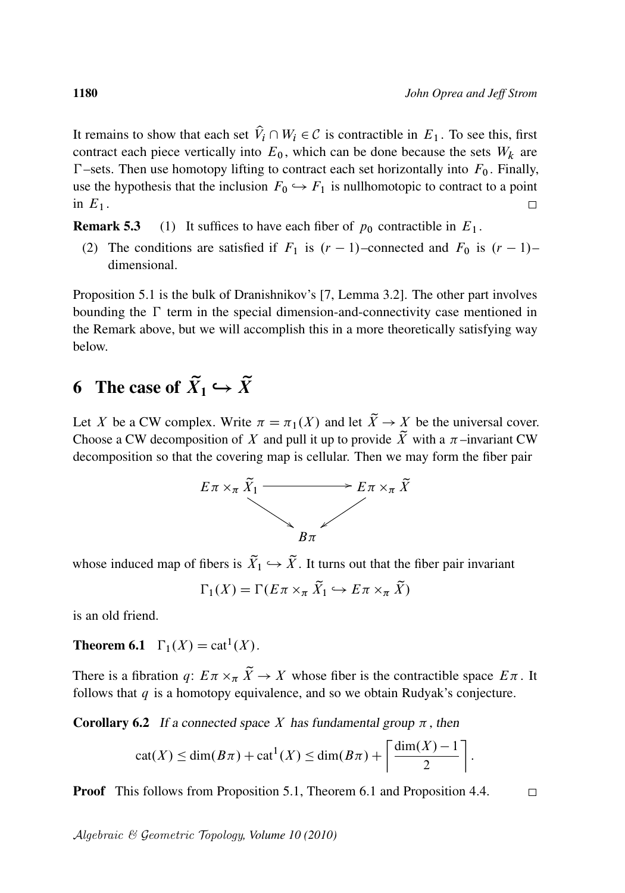It remains to show that each set  $\hat{V}_i \cap W_i \in \mathcal{C}$  is contractible in  $E_1$ . To see this, first contract each piece vertically into  $E_0$ , which can be done because the sets  $W_k$  are  $\Gamma$ –sets. Then use homotopy lifting to contract each set horizontally into  $F_0$ . Finally, use the hypothesis that the inclusion  $F_0 \hookrightarrow F_1$  is nullhomotopic to contract to a point in  $E_1$ .

**Remark 5.3** (1) It suffices to have each fiber of  $p_0$  contractible in  $E_1$ .

(2) The conditions are satisfied if  $F_1$  is  $(r - 1)$ –connected and  $F_0$  is  $(r - 1)$ – dimensional.

Proposition 5.1 is the bulk of Dranishnikov's [7, Lemma 3.2]. The other part involves bounding the  $\Gamma$  term in the special dimension-and-connectivity case mentioned in the Remark above, but we will accomplish this in a more theoretically satisfying way below.

# 6 The case of  $\widetilde{X}_1 \hookrightarrow \widetilde{X}$

Let X be a CW complex. Write  $\pi = \pi_1(X)$  and let  $\widetilde{X} \to X$  be the universal cover. Choose a CW decomposition of X and pull it up to provide  $\widetilde{X}$  with a  $\pi$ -invariant CW decomposition so that the covering map is cellular. Then we may form the fiber pair



whose induced map of fibers is  $\widetilde{X}_1 \hookrightarrow \widetilde{X}$ . It turns out that the fiber pair invariant

$$
\Gamma_1(X) = \Gamma(E\pi \times_{\pi} \tilde{X}_1 \hookrightarrow E\pi \times_{\pi} \tilde{X})
$$

is an old friend.

**Theorem 6.1**  $\Gamma_1(X) = \text{cat}^1(X)$ .

There is a fibration q:  $E \pi \times_{\pi} \tilde{X} \to X$  whose fiber is the contractible space  $E \pi$ . It follows that  $q$  is a homotopy equivalence, and so we obtain Rudyak's conjecture.

**Corollary 6.2** If a connected space X has fundamental group  $\pi$ , then

$$
cat(X) \leq dim(B\pi) + cat^{1}(X) \leq dim(B\pi) + \left\lceil \frac{dim(X) - 1}{2} \right\rceil.
$$

Proof This follows from Proposition 5.1, Theorem 6.1 and Proposition 4.4.

Algebraic & Geometric Topology*, Volume 10 (2010)*

 $\Box$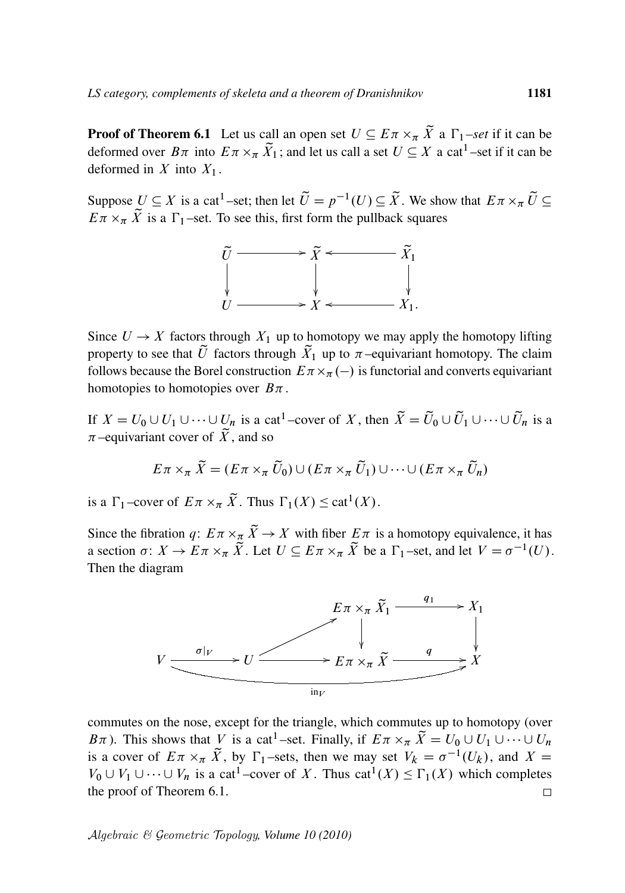**Proof of Theorem 6.1** Let us call an open set  $U \subseteq E \pi \times_{\pi} \tilde{X}$  a  $\Gamma_1$ -set if it can be deformed over  $B\pi$  into  $E\pi \times_{\pi} \tilde{X}_1$ ; and let us call a set  $U \subseteq X$  a cat<sup>1</sup>-set if it can be deformed in X into  $X_1$ .

Suppose  $U \subseteq X$  is a cat<sup>1</sup>-set; then let  $\tilde{U} = p^{-1}(U) \subseteq \tilde{X}$ . We show that  $E \pi \times_{\pi} \tilde{U} \subseteq$  $E \pi \times_{\pi} \tilde{X}$  is a  $\Gamma_1$ -set. To see this, first form the pullback squares



Since  $U \rightarrow X$  factors through  $X_1$  up to homotopy we may apply the homotopy lifting property to see that  $\tilde{U}$  factors through  $\tilde{X}_1$  up to  $\pi$ -equivariant homotopy. The claim follows because the Borel construction  $E \pi \times_{\pi} (-)$  is functorial and converts equivariant homotopies to homotopies over  $B_{\pi}$ .

If  $X = U_0 \cup U_1 \cup \cdots \cup U_n$  is a cat<sup>1</sup>-cover of X, then  $\widetilde{X} = \widetilde{U}_0 \cup \widetilde{U}_1 \cup \cdots \cup \widetilde{U}_n$  is a  $\pi$ –equivariant cover of  $\tilde{X}$ , and so

$$
E\pi \times_{\pi} \tilde{X} = (E\pi \times_{\pi} \tilde{U}_0) \cup (E\pi \times_{\pi} \tilde{U}_1) \cup \cdots \cup (E\pi \times_{\pi} \tilde{U}_n)
$$

is a  $\Gamma_1$ -cover of  $E \pi \times_{\pi} \tilde{X}$ . Thus  $\Gamma_1(X) \leq \text{cat}^1(X)$ .

Since the fibration  $q: E \pi \times_{\pi} \tilde{X} \to X$  with fiber  $E \pi$  is a homotopy equivalence, it has a section  $\sigma: X \to E \pi \times_{\pi} \tilde{X}$ . Let  $U \subseteq E \pi \times_{\pi} \tilde{X}$  be a  $\Gamma_1$ -set, and let  $V = \sigma^{-1}(U)$ . Then the diagram



commutes on the nose, except for the triangle, which commutes up to homotopy (over  $B\pi$ ). This shows that V is a cat<sup>1</sup>-set. Finally, if  $E\pi \times_{\pi} \tilde{X} = U_0 \cup U_1 \cup \cdots \cup U_n$ is a cover of  $E \pi \times_{\pi} \tilde{X}$ , by  $\Gamma_1$ -sets, then we may set  $V_k = \sigma^{-1}(U_k)$ , and  $X =$  $V_0 \cup V_1 \cup \cdots \cup V_n$  is a cat<sup>1</sup>-cover of X. Thus cat<sup>1</sup>(X)  $\leq \Gamma_1(X)$  which completes the proof of Theorem 6.1.  $\Box$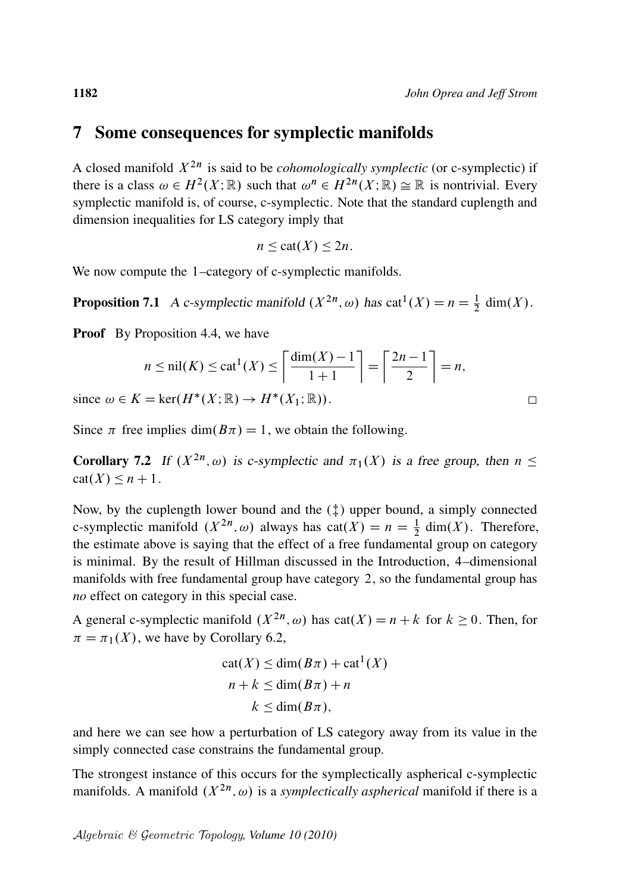#### 7 Some consequences for symplectic manifolds

A closed manifold  $X^{2n}$  is said to be *cohomologically symplectic* (or c-symplectic) if there is a class  $\omega \in H^2(X; \mathbb{R})$  such that  $\omega^n \in H^{2n}(X; \mathbb{R}) \cong \mathbb{R}$  is nontrivial. Every symplectic manifold is, of course, c-symplectic. Note that the standard cuplength and dimension inequalities for LS category imply that

$$
n \leq \mathrm{cat}(X) \leq 2n.
$$

We now compute the 1-category of c-symplectic manifolds.

**Proposition 7.1** A c-symplectic manifold  $(X^{2n}, \omega)$  has cat<sup>1</sup> $(X) = n = \frac{1}{2}$  dim(X).

**Proof** By Proposition 4.4, we have

$$
n \le \text{nil}(K) \le \text{cat}^1(K) \le \left\lceil \frac{\dim(K) - 1}{1 + 1} \right\rceil = \left\lceil \frac{2n - 1}{2} \right\rceil = n,
$$

since  $\omega \in K = \ker(H^*(X; \mathbb{R}) \to H^*(X_1; \mathbb{R})).$ 

Since  $\pi$  free implies dim $(B\pi) = 1$ , we obtain the following.

**Corollary 7.2** If  $(X^{2n}, \omega)$  is c-symplectic and  $\pi_1(X)$  is a free group, then  $n \leq$  $cat(X) \leq n+1$ .

Now, by the cuplength lower bound and the  $(\ddagger)$  upper bound, a simply connected c-symplectic manifold  $(X^{2n}, \omega)$  always has  $cat(X) = n = \frac{1}{2} dim(X)$ . Therefore, the estimate above is saying that the effect of a free fundamental group on category is minimal. By the result of Hillman discussed in the Introduction, 4–dimensional manifolds with free fundamental group have category 2, so the fundamental group has *no* effect on category in this special case.

A general c-symplectic manifold  $(X^{2n}, \omega)$  has cat $(X) = n + k$  for  $k \ge 0$ . Then, for  $\pi = \pi_1(X)$ , we have by Corollary 6.2,

$$
cat(X) \le dim(B\pi) + cat^{1}(X)
$$
  

$$
n + k \le dim(B\pi) + n
$$
  

$$
k \le dim(B\pi),
$$

and here we can see how a perturbation of LS category away from its value in the simply connected case constrains the fundamental group.

The strongest instance of this occurs for the symplectically aspherical c-symplectic manifolds. A manifold  $(X^{2n}, \omega)$  is a *symplectically aspherical* manifold if there is a

Algebraic & Geometric Topology*, Volume 10 (2010)*

 $\Box$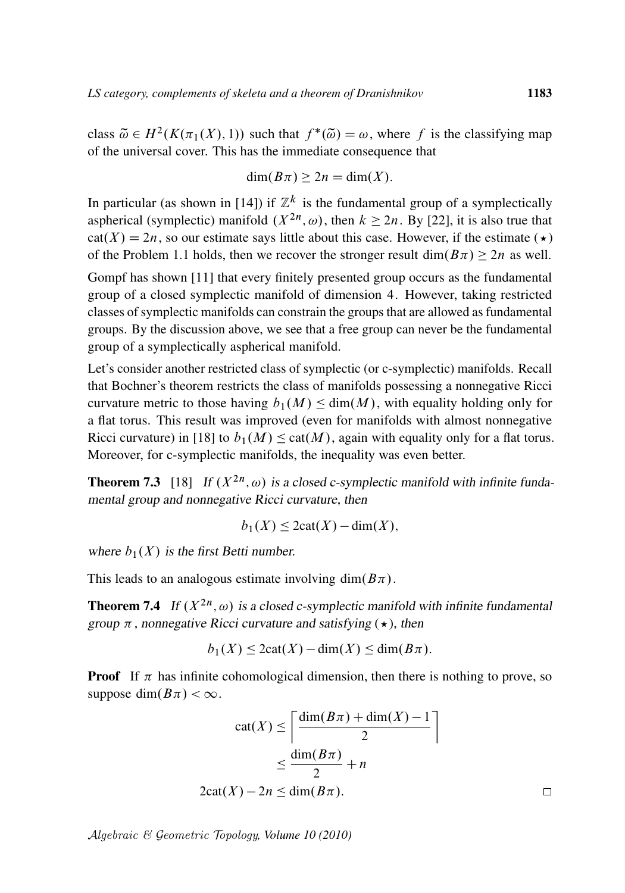class  $\tilde{\omega} \in H^2(K(\pi_1(X), 1))$  such that  $f^*(\tilde{\omega}) = \omega$ , where f is the classifying map of the universal cover. This has the immediate consequence that

$$
\dim(B\pi) \ge 2n = \dim(X).
$$

In particular (as shown in [14]) if  $\mathbb{Z}^k$  is the fundamental group of a symplectically aspherical (symplectic) manifold  $(X^{2n}, \omega)$ , then  $k \ge 2n$ . By [22], it is also true that  $cat(X) = 2n$ , so our estimate says little about this case. However, if the estimate ( $\star$ ) of the Problem 1.1 holds, then we recover the stronger result  $\dim(B\pi) \geq 2n$  as well.

Gompf has shown [11] that every finitely presented group occurs as the fundamental group of a closed symplectic manifold of dimension 4. However, taking restricted classes of symplectic manifolds can constrain the groups that are allowed as fundamental groups. By the discussion above, we see that a free group can never be the fundamental group of a symplectically aspherical manifold.

Let's consider another restricted class of symplectic (or c-symplectic) manifolds. Recall that Bochner's theorem restricts the class of manifolds possessing a nonnegative Ricci curvature metric to those having  $b_1(M) \leq \dim(M)$ , with equality holding only for a flat torus. This result was improved (even for manifolds with almost nonnegative Ricci curvature) in [18] to  $b_1(M) \leq \text{cat}(M)$ , again with equality only for a flat torus. Moreover, for c-symplectic manifolds, the inequality was even better.

**Theorem 7.3** [18] If  $(X^{2n}, \omega)$  is a closed c-symplectic manifold with infinite fundamental group and nonnegative Ricci curvature, then

$$
b_1(X) \le 2\text{cat}(X) - \text{dim}(X),
$$

where  $b_1(X)$  is the first Betti number.

This leads to an analogous estimate involving dim $(B\pi)$ .

**Theorem 7.4** If  $(X^{2n}, \omega)$  is a closed c-symplectic manifold with infinite fundamental group  $\pi$ , nonnegative Ricci curvature and satisfying ( $\star$ ), then

$$
b_1(X) \le 2\mathrm{cat}(X) - \dim(X) \le \dim(B\pi).
$$

**Proof** If  $\pi$  has infinite cohomological dimension, then there is nothing to prove, so suppose dim $(B\pi) < \infty$ .

$$
cat(X) \le \left\lceil \frac{\dim(B\pi) + \dim(X) - 1}{2} \right\rceil
$$
  

$$
\le \frac{\dim(B\pi)}{2} + n
$$
  

$$
2cat(X) - 2n \le \dim(B\pi).
$$

Algebraic & Geometric Topology*, Volume 10 (2010)*

 $\Box$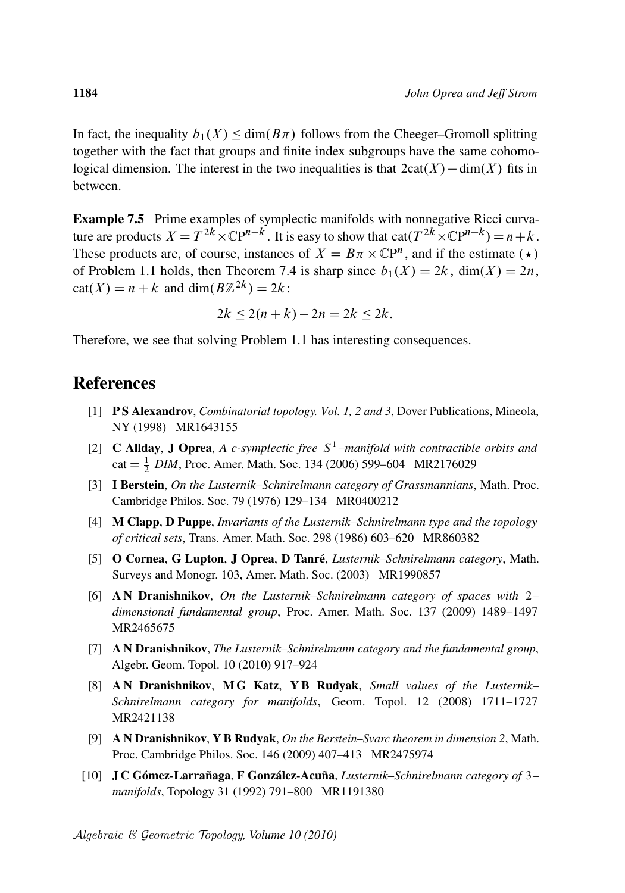In fact, the inequality  $b_1(X) \le \dim(B\pi)$  follows from the Cheeger–Gromoll splitting together with the fact that groups and finite index subgroups have the same cohomological dimension. The interest in the two inequalities is that  $2cat(X) - dim(X)$  fits in between.

Example 7.5 Prime examples of symplectic manifolds with nonnegative Ricci curvature are products  $X = T^{2k} \times \mathbb{C}P^{n-k}$ . It is easy to show that  $cat(T^{2k} \times \mathbb{C}P^{n-k}) = n+k$ . These products are, of course, instances of  $X = B\pi \times \mathbb{C}P^n$ , and if the estimate ( $\star$ ) of Problem 1.1 holds, then Theorem 7.4 is sharp since  $b_1(X) = 2k$ , dim $(X) = 2n$ ,  $cat(X) = n + k$  and  $dim(B\mathbb{Z}^{2k}) = 2k$ :

$$
2k \le 2(n+k) - 2n = 2k \le 2k.
$$

Therefore, we see that solving Problem 1.1 has interesting consequences.

#### **References**

- [1] **PS Alexandrov**, *Combinatorial topology. Vol. 1, 2 and 3*, Dover Publications, Mineola, NY (1998) MR1643155
- [2] **C Allday, J Oprea,** A c-symplectic free  $S^1$ -manifold with contractible orbits and  $cat = \frac{1}{2}$  *DIM*, Proc. Amer. Math. Soc. 134 (2006) 599–604 MR2176029
- [3] I Berstein, *On the Lusternik–Schnirelmann category of Grassmannians*, Math. Proc. Cambridge Philos. Soc. 79 (1976) 129–134 MR0400212
- [4] M Clapp, D Puppe, *Invariants of the Lusternik–Schnirelmann type and the topology of critical sets*, Trans. Amer. Math. Soc. 298 (1986) 603–620 MR860382
- [5] O Cornea, G Lupton, J Oprea, D Tanre´, *Lusternik–Schnirelmann category*, Math. Surveys and Monogr. 103, Amer. Math. Soc. (2003) MR1990857
- [6] A N Dranishnikov, *On the Lusternik–Schnirelmann category of spaces with* 2*– dimensional fundamental group*, Proc. Amer. Math. Soc. 137 (2009) 1489–1497 MR2465675
- [7] A N Dranishnikov, *The Lusternik–Schnirelmann category and the fundamental group*, Algebr. Geom. Topol. 10 (2010) 917–924
- [8] A N Dranishnikov, M G Katz, Y B Rudyak, *Small values of the Lusternik– Schnirelmann category for manifolds*, Geom. Topol. 12 (2008) 1711–1727 MR2421138
- [9] A N Dranishnikov, Y B Rudyak, *On the Berstein–Svarc theorem in dimension 2*, Math. Proc. Cambridge Philos. Soc. 146 (2009) 407–413 MR2475974
- [10] J C Gómez-Larrañaga, F González-Acuña, *Lusternik–Schnirelmann category of* 3– *manifolds*, Topology 31 (1992) 791–800 MR1191380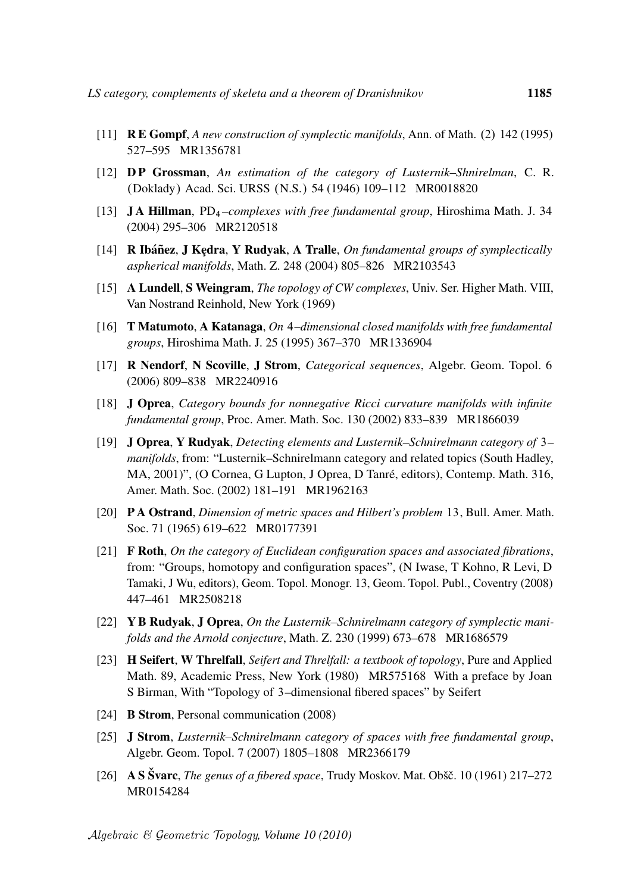- [11] **RE Gompf**, *A new construction of symplectic manifolds*, Ann. of Math. (2) 142 (1995) 527–595 MR1356781
- [12] D P Grossman, *An estimation of the category of Lusternik–Shnirelman*, C. R. (Doklady) Acad. Sci. URSS (N.S.) 54 (1946) 109-112 MR0018820
- [13] J A Hillman, PD<sup>4</sup> *–complexes with free fundamental group*, Hiroshima Math. J. 34 (2004) 295–306 MR2120518
- [14] **R Ibáñez, J Kędra, Y Rudyak, A Tralle,** *On fundamental groups of symplectically aspherical manifolds*, Math. Z. 248 (2004) 805–826 MR2103543
- [15] A Lundell, S Weingram, *The topology of CW complexes*, Univ. Ser. Higher Math. VIII, Van Nostrand Reinhold, New York (1969)
- [16] T Matumoto, A Katanaga, *On* 4*–dimensional closed manifolds with free fundamental groups*, Hiroshima Math. J. 25 (1995) 367–370 MR1336904
- [17] R Nendorf, N Scoville, J Strom, *Categorical sequences*, Algebr. Geom. Topol. 6 (2006) 809–838 MR2240916
- [18] J Oprea, *Category bounds for nonnegative Ricci curvature manifolds with infinite fundamental group*, Proc. Amer. Math. Soc. 130 (2002) 833–839 MR1866039
- [19] J Oprea, Y Rudyak, *Detecting elements and Lusternik–Schnirelmann category of* 3*– manifolds*, from: "Lusternik–Schnirelmann category and related topics (South Hadley, MA, 2001)", (O Cornea, G Lupton, J Oprea, D Tanré, editors), Contemp. Math. 316, Amer. Math. Soc. (2002) 181–191 MR1962163
- [20] P A Ostrand, *Dimension of metric spaces and Hilbert's problem* 13, Bull. Amer. Math. Soc. 71 (1965) 619–622 MR0177391
- [21] F Roth, *On the category of Euclidean configuration spaces and associated fibrations*, from: "Groups, homotopy and configuration spaces", (N Iwase, T Kohno, R Levi, D Tamaki, J Wu, editors), Geom. Topol. Monogr. 13, Geom. Topol. Publ., Coventry (2008) 447–461 MR2508218
- [22] Y B Rudyak, J Oprea, *On the Lusternik–Schnirelmann category of symplectic manifolds and the Arnold conjecture*, Math. Z. 230 (1999) 673–678 MR1686579
- [23] H Seifert, W Threlfall, *Seifert and Threlfall: a textbook of topology*, Pure and Applied Math. 89, Academic Press, New York (1980) MR575168 With a preface by Joan S Birman, With "Topology of 3–dimensional fibered spaces" by Seifert
- [24] **B Strom**, Personal communication (2008)
- [25] J Strom, *Lusternik–Schnirelmann category of spaces with free fundamental group*, Algebr. Geom. Topol. 7 (2007) 1805–1808 MR2366179
- [26] A S Švarc, *The genus of a fibered space*, Trudy Moskov. Mat. Obšč. 10 (1961) 217–272 MR0154284